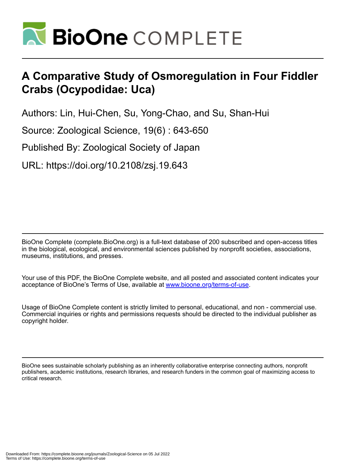

# **A Comparative Study of Osmoregulation in Four Fiddler Crabs (Ocypodidae: Uca)**

Authors: Lin, Hui-Chen, Su, Yong-Chao, and Su, Shan-Hui

Source: Zoological Science, 19(6) : 643-650

Published By: Zoological Society of Japan

URL: https://doi.org/10.2108/zsj.19.643

BioOne Complete (complete.BioOne.org) is a full-text database of 200 subscribed and open-access titles in the biological, ecological, and environmental sciences published by nonprofit societies, associations, museums, institutions, and presses.

Your use of this PDF, the BioOne Complete website, and all posted and associated content indicates your acceptance of BioOne's Terms of Use, available at www.bioone.org/terms-of-use.

Usage of BioOne Complete content is strictly limited to personal, educational, and non - commercial use. Commercial inquiries or rights and permissions requests should be directed to the individual publisher as copyright holder.

BioOne sees sustainable scholarly publishing as an inherently collaborative enterprise connecting authors, nonprofit publishers, academic institutions, research libraries, and research funders in the common goal of maximizing access to critical research.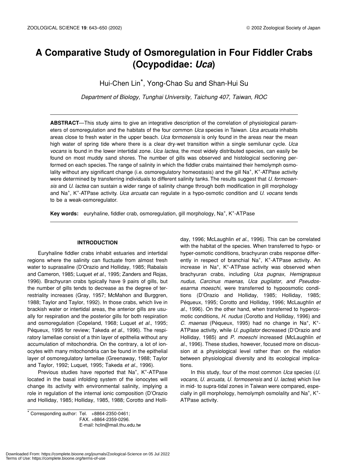# **A Comparative Study of Osmoregulation in Four Fiddler Crabs (Ocypodidae:** *Uca***)**

Hui-Chen Lin\*, Yong-Chao Su and Shan-Hui Su

*Department of Biology, Tunghai University, Taichung 407, Taiwan, ROC*

**ABSTRACT**—This study aims to give an integrative description of the correlation of physiological parameters of osmoregulation and the habitats of the four common *Uca* species in Taiwan. *Uca arcuata* inhabits areas close to fresh water in the upper beach. *Uca formosensis* is only found in the areas near the mean high water of spring tide where there is a clear dry-wet transition within a single semilunar cycle. *Uca vocans* is found in the lower intertidal zone. *Uca lactea*, the most widely distributed species, can easily be found on most muddy sand shores. The number of gills was observed and histological sectioning performed on each species. The range of salinity in which the fiddler crabs maintained their hemolymph osmolality without any significant change (i.e. osmoregulatory homeostasis) and the gill Na<sup>+</sup>, K<sup>+</sup>-ATPase activity were determined by transferring individuals to different salinity tanks. The results suggest that *U*. *formosensis* and *U. lactea* can sustain a wider range of salinity change through both modification in gill morphology and Na+ , K+ -ATPase activity. *Uca arcuata* can regulate in a hypo-osmotic condition and *U. vocans* tends to be a weak-osmoregulator.

Key words: euryhaline, fiddler crab, osmoregulation, gill morphology, Na<sup>+</sup>, K<sup>+</sup>-ATPase

## **INTRODUCTION**

Euryhaline fiddler crabs inhabit estuaries and intertidal regions where the salinity can fluctuate from almost fresh water to suprasaline (D'Orazio and Holliday, 1985; Rabalais and Cameron, 1985; Luquet *et al.*, 1995; Zanders and Rojas, 1996). Brachyuran crabs typically have 9 pairs of gills, but the number of gills tends to decrease as the degree of terrestriality increases (Gray, 1957; McMahon and Burggren, 1988; Taylor and Taylor, 1992). In those crabs, which live in brackish water or intertidal areas, the anterior gills are usually for respiration and the posterior gills for both respiration and osmoregulation (Copeland, 1968; Luquet *et al.*, 1995; Péqueux, 1995 for review; Takeda *et al.*, 1996). The respiratory lamellae consist of a thin layer of epithelia without any accumulation of mitochondria. On the contrary, a lot of ionocytes with many mitochondria can be found in the epithelial layer of osmoregulatory lamellae (Greenaway, 1988; Taylor and Taylor, 1992; Luquet, 1995; Takeda *et al.*, 1996).

Previous studies have reported that Na<sup>+</sup>, K<sup>+</sup>-ATPase located in the basal infolding system of the ionocytes will change its activity with environmental salinity, implying a role in regulation of the internal ionic composition (D'Orazio and Holliday, 1985; Holliday, 1985, 1988; Corotto and Holli-

 $*$  Corresponding author: Tel.  $+8864-2350-0461;$ FAX. +8864-2359-0296. E-mail: hclin@mail.thu.edu.tw day, 1996; McLaughlin *et al.*, 1996). This can be correlated with the habitat of the species. When transferred to hypo- or hyper-osmotic conditions, brachyuran crabs response differently in respect of branchial Na<sup>+</sup>, K<sup>+</sup>-ATPase activity. An increase in Na<sup>+</sup>, K<sup>+</sup>-ATPase activity was observed when brachyuran crabs, including *Uca pugnax, Hemigrapsus nudus, Carcinus maenas, Uca pugilator, and Pseudosesarma moeschi,* were transferred to hypoosmotic conditions (D'Orazio and Holliday, 1985; Holliday, 1985; Péqueux, 1995; Corotto and Holliday, 1996; McLaughlin *et al.*, 1996). On the other hand, when transferred to hyperosmotic conditions, *H. nudus* (Corotto and Holliday, 1996) and C. maenas (Péqueux, 1995) had no change in Na<sup>+</sup>, K<sup>+</sup>-ATPase activity, while *U. pugilator* decreased (D'Orazio and Holliday, 1985) and *P. moeschi* increased (McLaughlin *et al.*, 1996). These studies, however, focused more on discussion at a physiological level rather than on the relation between physiological diversity and its ecological implications.

In this study, four of the most common *Uca* species (*U. vocans, U. arcuata, U. formosensis* and *U. lactea*) which live in mid- to supra-tidal zones in Taiwan were compared, especially in gill morphology, hemolymph osmolality and Na<sup>+</sup>, K<sup>+</sup>-ATPase activity.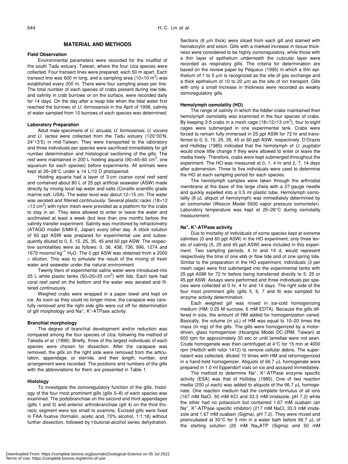# **MATERIAL AND METHODS**

#### **Field Observation**

Environmental parameters were recorded for the mudflat of the south Tadu estuary, Taiwan, where the four *Uca* species were collected. Four transect lines were prepared, each 50 m apart. Each transect line was 600 m long, and a sampling area (10×10 m<sup>2</sup>) was established every 200 m. There were four sampling areas per line. The total number of each species of crabs present during low tide, and salinity in crab burrows or on the surface, were recorded daily for 14 days. On the day after a neap tide when the tidal water first reached the burrows of *U. formosensis* in the April of 1998, salinity of water sampled from 10 burrows of each species was determined.

#### **Laboratory Preparation**

Adult male specimens of *U. arcuata, U. formosensis, U. vocans and U. lactea* were collected from the Tadu estuary (120°30'N, 24°13'E) in mid-Taiwan. They were transported to the laboratory and three individuals per species were sacrificed immediately for gill number determination and histological sectioning of the gills. The rest were maintained in 200 L holding aquaria (90×45×60 cm<sup>3</sup>, one aquarium for each species) before experiments. All animals were kept at 26–28°C under a 14 L/10 D photoperiod.

Holding aquaria had a layer of 3-cm coarse coral reef sand and contained about 80 L of 25 ppt artificial seawater (ASW) made directly by mixing local tap water and salts (Coralife scientific grade marine salt, USA). The water level was about 12–15 cm. The water was aerated and filtered continuously. Several plastic racks (18×12  $\times$ 13 cm<sup>3</sup>) with nylon mesh were provided as a platform for the crabs to stay in air. They were allowed to enter or leave the water and acclimated at least a week (but less than one month) before the salinity transfer experiment. Salinity was monitored by refractometry (ATAGO model S/Mill-E, Japan) every other day. A stock solution of 60 ppt ASW was prepared for experimental use and subsequently diluted to 0, 5, 15, 25, 35, 45 and 60 ppt ASW. The respective osmolalities were as follows: 0, 36, 438, 736, 996, 1274 and 1679 mosmol  $kg^{-1}$  H<sub>2</sub>O. The 0 ppt ASW was obtained from a 2000  $\times$  dilution. This was to simulate the result of the mixing of fresh water and seawater under the natural environment.

Twenty liters of experimental saline water were introduced into 25 L white plastic tanks (50 $\times$ 20 $\times$ 25 cm<sup>3</sup>) with lids. Each tank had coral reef sand on the bottom and the water was aerated and filtered continuously.

Weighed crabs were wrapped in a paper towel and kept on ice. As soon as they could no longer move, the carapace was carefully removed and the right side gills were cut off for determination of gill morphology and Na<sup>+</sup>, K<sup>+</sup>-ATPase activity.

#### **Branchial morphology**

The degree of branchial development and/or reduction was compared among the four species of *Uca*, following the method of Takeda *et al*. (1996). Briefly, three of the largest individuals of each species were chosen for dissection. After the carapace was removed, the gills on the right side were removed from the articulation, appendage, or sternite, and their length, number, and arrangement were recorded. The positions and numbers of the gills with the abbreviations for them are presented in Table 1.

#### **Histology**

To investigate the osmoregulatory function of the gills, histology of the four most prominent gills (gills 5–8) of each species was examined. The podobranchiae on the second and third appendages (gills 1 and 3) and anterior arthrobranchiae (gill 4) on the third thoracic segment were too small to examine. Excised gills were fixed in FAA fixative (formalin, acetic acid, 70% alcohol, 1:1:18) without further dissection, followed by t-butonal-alcohol series dehydration. Sections (8  $\mu$ m thick) were sliced from each gill and stained with hematoxylin and eosin. Gills with a marked increase in tissue thickness were considered to be highly osmoregulatory, while those with a thin layer of epithelium underneath the cuticular layer were recorded as respiratory gills. The criteria for determination are based on the review paper by Péqueux (1995) in which a thin epithelium of 1 to 5 µm is recognized as the site of gas exchange and a thick epithelium of 10 to 20  $\mu$ m as the site of ion transport. Gills with only a small increase in thickness were recorded as weakly osmoregulatory gills.

#### **Hemolymph osmolality (HO)**

The range of salinity in which the fiddler crabs maintained their hemolymph osmolality was examined in the four species of crabs. By keeping 3-5 crabs in a mesh cage (18 $\times$ 12 $\times$ 13 cm<sup>3</sup>), four to eight cages were submerged in one experimental tank. Crabs were forced to remain fully immersed in 25 ppt ASW for 72 hr and transferred to 0, 5, 15, 25, 35, 45 or 60 ppt ASW, respectively. D'Orazio and Holliday (1985) indicated that the hemolymph of *U. pugilator* would show little change if they were allowed to enter or leave the media freely. Therefore, crabs were kept submerged throughout the experiment. The HO was measured at 0, 1, 4 hr and 2, 7, 14 days after submersion. Three to five individuals were used to determine the HO at each sampling period for each species.

The hemolymph samples were taken through the arthrodial membrane at the base of the large chela with a 27-gauge needle and quickly expelled into a 0.5 ml plastic tube. Hemolymph osmolality (8  $\mu$ L aliquot of hemolymph) was immediately determined by an osmometer (Wescor Model 5500 vapor pressure osmometer). Laboratory temperature was kept at 25–26°C during osmolality measurement.

# **Na<sup>+</sup> , K<sup>+</sup> -ATPase activity**

Due to mortality of individuals of some species kept at extreme salinities (0 and 60 ppt ASW) in the HO experiment, only three levels of salinity (5, 25 and 45 ppt ASW) were included in this experiment. Two sampling periods, 4 hr and 14 d, would represent respectively the time of one ebb or flow tide and of one spring tide. Similar to the preparation in the HO experiment, individuals (3 per mesh cage) were first submerged into the experimental tanks with 25 ppt ASW for 72 hr before being transferred directly to 5, 25 or 45 ppt ASW. Assays were performed and three individuals per species were collected at 0 hr, 4 hr and 14 days. The right side of the four most prominent gills (gills 5, 6, 7 and 8) was sampled for enzyme activity determination.

Each weighed gill was rinsed in ice-cold homogenizing medium (HM: 0.25 M sucrose, 6 mM EDTA). Because the gills differed in size, the amount of HM added for homogenization varied. Basically, the volume (in µL) of HM was equal to 10–20 times the mass (in mg) of the gills. The gills were homogenized by a motordriven, glass homogenizer (Hsiangtai Model DC-2RM, Taiwan) at 600 rpm for approximately 30 sec or until lamellae were not seen. Crude homogenate was then centrifuged at 4°C for 15 min at 4000 rpm (Hettich with rotor 1412) to remove cellular debris. The supernatant was collected, diluted 10 times with HM and rehomogenized in a hand-held homogenizer. Aliquots of 66.7 µL homogenate were prepared in 1.0 ml Eppendorf vials on ice and assayed immediately.

The method to determine  $Na^{+}$ , K<sup>+</sup>-ATPase enzyme specific activity (ESA) was that of Holliday (1985). One of two reaction media (200 µl each) was added to aliquots of the 66.7 µL homogenate. One reaction medium had the complete formulus of all ions (167 mM NaCl, 50 mM KCl and 33.3 mM imidazole, pH 7.2) while the other had no potassium but contained 1.67 mM ouabain (an Na<sup>+</sup>, K<sup>+</sup>-ATPase specific inhibitor) (217 mM NaCl, 33.3 mM imidazole and 1.67 mM ouabain (Sigma), pH 7.2). They were mixed and preincubated at 30°C for 5 min in a water bath before 66.7 µL of the starting solution (25 mM Na2ATP (Sigma) and 50 mM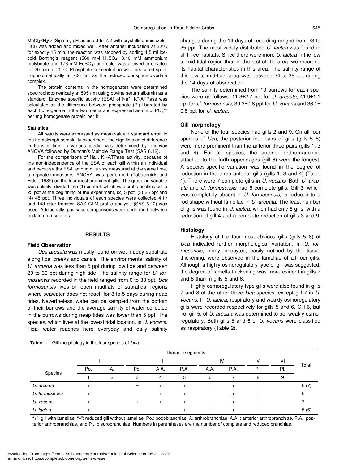MgCl26H2O (Sigma), pH adjusted to 7.2 with crystalline imidazole-HCl) was added and mixed well. After another incubation at 30°C for exactly 15 min, the reaction was stopped by adding 1.5 ml icecold Bonting's reagent (560 mM  $H<sub>2</sub>SO<sub>4</sub>$ , 8.10 mM ammonium molybdate and 176 mM FeSO<sub>4</sub>) and color was allowed to develop for 20 min at 20°C. Phosphate concentration was measured spectrophotometrically at 700 nm as the reduced phosphomolybdate complex.

The protein contents in the homogenates were determined spectrophotometrically at 595 nm using bovine serum albumin as a standard. Enzyme specific activity (ESA) of Na<sup>+</sup>, K<sup>+</sup>-ATPase was calculated as the difference between phosphate (Pi) liberated by each homogenate in the two media and expressed as mmol  $PO_4^2$ per mg homogenate protein per h.

#### **Statistics**

All results were expressed as mean value ± standard error. In the hemolymph osmolality experiment, the significance of difference in transfer time in various media was determined by one-way ANOVA followed by Duncan's Multiple Range Test (SAS 6.12).

For the comparisons of Na<sup>+</sup>, K<sup>+</sup>-ATPase activity, because of the non-independence of the ESA of each gill within an individual and because the ESA among gills was measured at the same time, a repeated-measures ANOVA was performed (Tabachnick and Fidell, 1989) on the four most prominent gills. The grouping variable was salinity, divided into (1) control, which was crabs acclimated to 25 ppt at the beginning of the experiment, (2) 5 ppt, (3) 25 ppt and (4) 45 ppt. Three individuals of each species were collected 4 hr and 14d after transfer. SAS GLM profile analysis (SAS 6.12) was used. Additionally, pair-wise comparisons were performed between certain data subsets.

### **RESULTS**

#### **Field Observation**

*Uca arcuata* was mostly found on wet muddy substrate along tidal creeks and canals. The environmental salinity of *U. arcuata* was less than 5 ppt during low tide and between 20 to 30 ppt during high tide. The salinity range for *U. formosensis* recorded in the field ranged from 0 to 38 ppt. *Uca formosensis* lives on open mudflats of supratidal regions where seawater does not reach for 3 to 5 days during neap tides. Nevertheless, water can be sampled from the bottom of their burrows and the average salinity of water collected in the burrows during neap tides was lower than 5 ppt. The species, which lives at the lowest tidal location, is *U. vocans*. Tidal water reaches here everyday and daily salinity

**Table 1.** Gill morphology in the four species of *Uca*.

changes during the 14 days of recording ranged from 23 to 35 ppt. The most widely distributed *U. lactea* was found in all three habitats. Since there were more *U. lactea* in the low to mid-tidal region than in the rest of the area, we recorded its habitat characteristics in this area. The salinity range of this low to mid-tidal area was between 24 to 38 ppt during the 14 days of observation.

The salinity determined from 10 burrows for each species were as follows: 11.3±2.7 ppt for *U. arcuata*, 41.9±1.1 ppt for *U. formosensis*, 39.3±0.8 ppt for *U. vocans* and 36.1± 0.8 ppt for *U. lactea*.

#### **Gill morphology**

None of the four species had gills 2 and 9. On all four species of *Uca*, the posterior four pairs of gills (gills 5–8) were more prominent than the anterior three pairs (gills 1, 3 and 4). For all species, the anterior arthrobranchiae attached to the forth appendages (gill 6) were the longest. A species-specific variation was found in the degree of reduction in the three anterior gills (gills 1, 3 and 4) (Table 1). There were 7 complete gills in *U. vocans*. Both *U. arcuata* and *U. formosensis* had 6 complete gills. Gill 3, which was completely absent in *U. formosensis*, is reduced to a rod shape without lamellae in *U. arcuata*. The least number of gills was found in *U. lactea*, which had only 5 gills, with a reduction of gill 4 and a complete reduction of gills 3 and 9.

#### **Histology**

Histology of the four most obvious gills (gills 5–8) of *Uca* indicated further morphological variation. In *U. formosensis*, many ionocytes, easily noticed by the tissue thickening, were observed in the lamellae of all four gills. Although a highly osmoregulatory type of gill was suggested, the degree of lamella thickening was more evident in gills 7 and 8 than in gills 5 and 6.

Highly osmoregulatory type gills were also found in gills 7 and 8 of the other three *Uca* species, except gill 7 in *U. vocans*. In *U. lactea*, respiratory and weakly osmoregulatory gills were recorded respectively for gills 5 and 6. Gill 6, but not gill 5, of *U. arcuata* was determined to be weakly osmoregulatory. Both gills 5 and 6 of *U. vocans* were classified as respiratory (Table 2).

|                | Thoracic segments |    |     |      |           |           |      |     |     |       |
|----------------|-------------------|----|-----|------|-----------|-----------|------|-----|-----|-------|
|                |                   |    | Ш   |      |           | IV        |      |     | v١  |       |
| Species        | Po.               | А. | Po. | A.A. | P.A.      | A.A.      | P.A. | PI. | PI. | Total |
|                |                   | っ  | 3   | 4    | 5         | 6         |      | 8   | 9   |       |
| U. arcuata     | $\ddot{}$         |    |     |      | $\ddot{}$ | $\ddot{}$ |      |     |     | 6(7)  |
| U. formosensis | $\ddot{}$         |    |     |      | $\ddot{}$ | $\div$    |      |     |     | 6     |
| U. vocans      | $\pm$             |    | ÷   |      | $+$       | $\ddot{}$ |      |     |     |       |
| U. lactea      |                   |    |     |      |           | $+$       |      |     |     | 5(6)  |

"+": gill with lamellae. "–": reduced gill without lamellae. Po.: podobranchiae, A: arthrobranchiae, A.A. : anterior arthrobranchiae, P.A.: posterior arthrobranchiae, and Pl.: pleurobranchiae. Numbers in parentheses are the number of complete and reduced branchiae.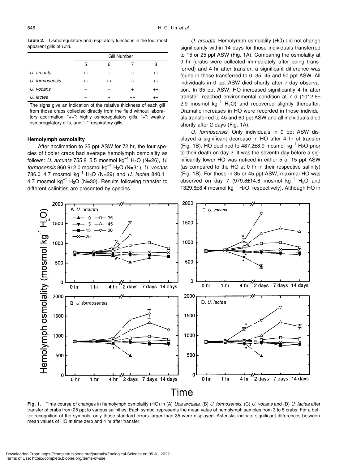**Table 2.** Osmoregulatory and respiratory functions in the four most apparent gills of *Uca*.

|                | <b>Gill Number</b> |           |           |         |  |  |  |
|----------------|--------------------|-----------|-----------|---------|--|--|--|
|                | 5                  | 6         |           | 8       |  |  |  |
| U. arcuata     | $^{++}$            | $\ddot{}$ | $^{++}$   | $^{++}$ |  |  |  |
| U. formosensis | $^{++}$            | $^{++}$   | $^{++}$   | $^{++}$ |  |  |  |
| U. vocans      |                    |           | $\ddot{}$ | $^{++}$ |  |  |  |
| U. lactea      |                    | $\div$    | $^{++}$   | $^{++}$ |  |  |  |

The signs give an indication of the relative thickness of each gill from those crabs collected directly from the field without laboratory acclimation. "++": highly osmoregulatory gills, "+": weakly osmoregylatory gills, and "-": respiratory gills.

# **Hemolymph osmolality**

After acclimation to 25 ppt ASW for 72 hr, the four species of fiddler crabs had average hemolymph osmolality as follows: *U. arcuata* 755.8±5.5 mosmol kg<sup>-1</sup> H<sub>2</sub>O (N=26), *U. formosensis* 860.9±2.0 mosmol kg–1 H2O (N=31), *U. vocans* 786.0 $\pm$ 4.7 mosmol kg<sup>-1</sup> H<sub>2</sub>O (N=29) and *U. lactea* 840.1 $\pm$ 4.7 mosmol  $kg^{-1}$  H<sub>2</sub>O (N=30). Results following transfer to different salinities are presented by species.

*U. arcuata*. Hemolymph osmolality (HO) did not change significantly within 14 days for those individuals transferred to 15 or 25 ppt ASW (Fig. 1A). Comparing the osmolality at 0 hr (crabs were collected immediately after being transferred) and 4 hr after transfer, a significant difference was found in those transferred to 0, 35, 45 and 60 ppt ASW. All individuals in 0 ppt ASW died shortly after 7-day observation. In 35 ppt ASW, HO increased significantly 4 hr after transfer, reached environmental condition at 7 d (1012.6± 2.9 mosmol  $kq^{-1}$  H<sub>2</sub>O) and recovered slightly thereafter. Dramatic increases in HO were recorded in those individuals transferred to 45 and 60 ppt ASW and all individuals died shortly after 2 days (Fig. 1A).

*U. formosensis*. Only individuals in 0 ppt ASW displayed a significant decrease in HO after 4 hr of transfer (Fig. 1B). HO declined to  $487.2\pm8.9$  mosmol kg<sup>-1</sup> H<sub>2</sub>O prior to their death on day 2. It was the seventh day before a significantly lower HO was noticed in either 5 or 15 ppt ASW (as compared to the HO at 0 hr in their respective salinity) (Fig. 1B). For those in 35 or 45 ppt ASW, maximal HO was observed on day 7 (979.8 $\pm$ 14.6 mosmol kg<sup>-1</sup> H<sub>2</sub>O and 1329.6 $\pm$ 8.4 mosmol kg<sup>-1</sup> H<sub>2</sub>O, respectively). Although HO in



**Fig. 1.** Time course of changes in hemolymph osmolality (HO) in (A) *Uca arcuata*, (B) *U. formosensis*, (C) *U. vocans* and (D) *U. lactea* after transfer of crabs from 25 ppt to various salinities. Each symbol represents the mean value of hemolymph samples from 3 to 5 crabs. For a better recognition of the symbols, only those standard errors larger than 35 were displayed. Asterisks indicate significant differences between mean values of HO at time zero and 4 hr after transfer.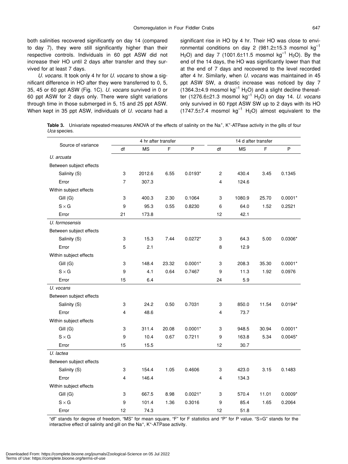both salinities recovered significantly on day 14 (compared to day 7), they were still significantly higher than their respective controls. Individuals in 60 ppt ASW did not increase their HO until 2 days after transfer and they survived for at least 7 days.

*U. vocans*. It took only 4 hr for *U. vocans* to show a significant difference in HO after they were transferred to 0, 5, 35, 45 or 60 ppt ASW (Fig. 1C). *U. vocans* survived in 0 or 60 ppt ASW for 2 days only. There were slight variations through time in those submerged in 5, 15 and 25 ppt ASW. When kept in 35 ppt ASW, individuals of *U. vocans* had a significant rise in HO by 4 hr. Their HO was close to environmental conditions on day 2 (981.2 $\pm$ 15.3 mosmol kg<sup>-1</sup> H<sub>2</sub>O) and day 7 (1001.6±11.5 mosmol kg<sup>-1</sup> H<sub>2</sub>O). By the end of the 14 days, the HO was significantly lower than that at the end of 7 days and recovered to the level recorded after 4 hr. Similarly, when *U. vocans* was maintained in 45 ppt ASW SW, a drastic increase was noticed by day 7  $(1364.3\pm4.9 \text{ m}$ osmol kg<sup>-1</sup> H<sub>2</sub>O) and a slight decline thereafter (1276.6±21.3 mosmol kg–1 H2O) on day 14. *U. vocans* only survived in 60 Fppt ASW SW up to 2 days with its HO  $(1747.5\pm7.4$  mosmol kg<sup>-1</sup> H<sub>2</sub>O) almost equivalent to the

Table 3. Univariate repeated-measures ANOVA of the effects of salinity on the Na<sup>+</sup>, K<sup>+</sup>-ATPase activity in the gills of four *Uca* species.

| Source of variance      | 4 hr after transfer |           |       |           | 14 d after transfer |           |       |           |  |
|-------------------------|---------------------|-----------|-------|-----------|---------------------|-----------|-------|-----------|--|
|                         | df                  | <b>MS</b> | F     | $\sf P$   | df                  | <b>MS</b> | F     | P         |  |
| U. arcuata              |                     |           |       |           |                     |           |       |           |  |
| Between subject effects |                     |           |       |           |                     |           |       |           |  |
| Salinity (S)            | 3                   | 2012.6    | 6.55  | $0.0193*$ | 2                   | 430.4     | 3.45  | 0.1345    |  |
| Error                   | 7                   | 307.3     |       |           | 4                   | 124.6     |       |           |  |
| Within subject effects  |                     |           |       |           |                     |           |       |           |  |
| Gill (G)                | 3                   | 400.3     | 2.30  | 0.1064    | 3                   | 1080.9    | 25.70 | $0.0001*$ |  |
| $S \times G$            | 9                   | 95.3      | 0.55  | 0.8230    | 6                   | 64.0      | 1.52  | 0.2521    |  |
| Error                   | 21                  | 173.8     |       |           | 12                  | 42.1      |       |           |  |
| U. formosensis          |                     |           |       |           |                     |           |       |           |  |
| Between subject effects |                     |           |       |           |                     |           |       |           |  |
| Salinity (S)            | 3                   | 15.3      | 7.44  | $0.0272*$ | 3                   | 64.3      | 5.00  | $0.0306*$ |  |
| Error                   | 5                   | 2.1       |       |           | 8                   | 12.9      |       |           |  |
| Within subject effects  |                     |           |       |           |                     |           |       |           |  |
| Gill (G)                | 3                   | 148.4     | 23.32 | $0.0001*$ | 3                   | 208.3     | 35.30 | $0.0001*$ |  |
| $S \times G$            | 9                   | 4.1       | 0.64  | 0.7467    | 9                   | 11.3      | 1.92  | 0.0976    |  |
| Error                   | 15                  | 6.4       |       |           | 24                  | 5.9       |       |           |  |
| U. vocans               |                     |           |       |           |                     |           |       |           |  |
| Between subject effects |                     |           |       |           |                     |           |       |           |  |
| Salinity (S)            | 3                   | 24.2      | 0.50  | 0.7031    | 3                   | 850.0     | 11.54 | $0.0194*$ |  |
| Error                   | 4                   | 48.6      |       |           | 4                   | 73.7      |       |           |  |
| Within subject effects  |                     |           |       |           |                     |           |       |           |  |
| Gill (G)                | 3                   | 311.4     | 20.08 | $0.0001*$ | 3                   | 948.5     | 30.94 | $0.0001*$ |  |
| $S \times G$            | 9                   | 10.4      | 0.67  | 0.7211    | 9                   | 163.8     | 5.34  | $0.0045*$ |  |
| Error                   | 15                  | 15.5      |       |           | 12                  | 30.7      |       |           |  |
| U. lactea               |                     |           |       |           |                     |           |       |           |  |
| Between subject effects |                     |           |       |           |                     |           |       |           |  |
| Salinity (S)            | 3                   | 154.4     | 1.05  | 0.4606    | 3                   | 423.0     | 3.15  | 0.1483    |  |
| Error                   | 4                   | 146.4     |       |           | 4                   | 134.3     |       |           |  |
| Within subject effects  |                     |           |       |           |                     |           |       |           |  |
| Gill (G)                | 3                   | 667.5     | 8.98  | $0.0021*$ | 3                   | 570.4     | 11.01 | $0.0009*$ |  |
| $S \times G$            | 9                   | 101.4     | 1.36  | 0.3016    | 9                   | 85.4      | 1.65  | 0.2064    |  |
| Error                   | 12                  | 74.3      |       |           | 12                  | 51.8      |       |           |  |

"df" stands for degree of freedom, "MS" for mean square, "F" for F statistics and "P" for P value. "S×G" stands for the interactive effect of salinity and gill on the Na<sup>+</sup>, K<sup>+</sup>-ATPase activity.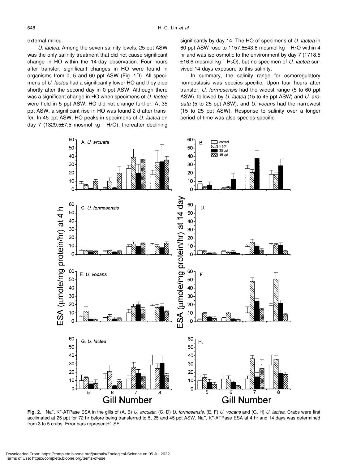external milieu.

*U. lactea*. Among the seven salinity levels, 25 ppt ASW was the only salinity treatment that did not cause significant change in HO within the 14-day observation. Four hours after transfer, significant changes in HO were found in organisms from 0, 5 and 60 ppt ASW (Fig. 1D). All specimens of *U. lactea* had a significantly lower HO and they died shortly after the second day in 0 ppt ASW. Although there was a significant change in HO when specimens of *U. lactea* were held in 5 ppt ASW, HO did not change further. At 35 ppt ASW, a significant rise in HO was found 2 d after transfer. In 45 ppt ASW, HO peaks in specimens of *U. lactea* on day 7 (1329.5 $\pm$ 7.5 mosmol kg<sup>-1</sup> H<sub>2</sub>O), thereafter declining significantly by day 14. The HO of specimens of *U. lactea* in 60 ppt ASW rose to 1157.6 $\pm$ 43.6 mosmol kg<sup>-1</sup> H<sub>2</sub>O within 4 hr and was iso-osmotic to the environment by day 7 (1718.5  $\pm$ 16.6 mosmol kg<sup>-1</sup> H<sub>2</sub>O), but no specimen of *U. lactea* survived 14 days exposure to this salinity.

In summary, the salinity range for osmoregulatory homeostasis was species-specific. Upon four hours after transfer, *U. formosensis* had the widest range (5 to 60 ppt ASW), followed by *U. lactea* (15 to 45 ppt ASW) and *U. arcuata* (5 to 25 ppt ASW), and *U. vocans* had the narrowest (15 to 25 ppt ASW). Response to salinity over a longer period of time was also species-specific.



**Fig. 2.** Na<sup>+</sup> , K<sup>+</sup> -ATPase ESA in the gills of (A, B) *U. arcuata*, (C, D) *U. formosensis*, (E, F) *U. vocans* and (G, H) *U. lactea*. Crabs were first acclimated at 25 ppt for 72 hr before being transferred to 5, 25 and 45 ppt ASW. Na<sup>+</sup>, K<sup>+</sup>-ATPase ESA at 4 hr and 14 days was determined from 3 to 5 crabs. Error bars represent±1 SE.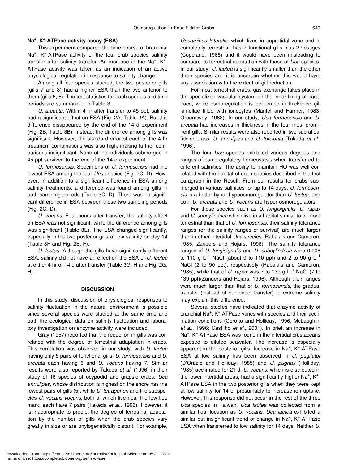# **Na+ , K+ -ATPase activity assay (ESA)**

This experiment compared the time course of branchial Na<sup>+</sup>, K<sup>+</sup>-ATPase activity of the four crab species salinity transfer after salinity transfer. An increase in the Na<sup>+</sup>, K<sup>+</sup>-ATPase activity was taken as an indication of an active physiological regulation in response to salinity change.

Among all four species studied, the two posterior gills (gills 7 and 8) had a higher ESA than the two anterior to them (gills 5, 6). The test statistics for each species and time periods are summarized in Table 3.

*U. arcuata*. Within 4 hr after transfer to 45 ppt, salinity had a significant effect on ESA (Fig. 2A, Table 3A). But this difference disappeared by the end of the 14 d experiment (Fig. 2B, Table 3B). Instead, the difference among gills was significant. However, the standard error of each of the 4 hr treatment combinations was also high, making further comparisons insignificant. None of the individuals submerged in 45 ppt survived to the end of the 14 d experiment.

*U. formosensis*. Specimens of *U. formosensis* had the lowest ESA among the four *Uca* species (Fig. 2C, D). However, in addition to a significant difference in ESA among salinity treatments, a difference was found among gills in both sampling periods (Table 3C, D). There was no significant difference in ESA between these two sampling periods (Fig. 2C, D).

*U. vocans*. Four hours after transfer, the salinity effect on ESA was not significant, while the difference among gills was significant (Table 3E). The ESA changed significantly, especially in the two posterior gills at low salinity on day 14 (Table 3F and Fig. 2E, F).

*U. lactea*. Although the gills have significantly different ESA, salinity did not have an effect on the ESA of *U. lactea* at either 4 hr or 14 d after transfer (Table 3G, H and Fig. 2G, H).

# **DISCUSSION**

In this study, discussion of physiological responses to salinity fluctuation in the natural environment is possible since several species were studied at the same time and both the ecological data on salinity fluctuation and laboratory investigation on enzyme activity were included.

Gray (1957) reported that the reduction in gills was correlated with the degree of terrestrial adaptation in crabs. This correlation was observed in our study, with *U. lactea* having only 5 pairs of functional gills, *U. formosensis* and *U. arcuata* each having 6 and *U. vocans* having 7. Similar results were also reported by Takeda *et al*. (1996) in their study of 16 species of ocypodid and grapsid crabs. *Uca annulipes*, whose distribution is highest on the shore has the fewest pairs of gills (5), while *U. tetragonon* and the subspecies *U. vocans vocans*, both of which live near the low tide mark, each have 7 pairs (Takeda *et al.*, 1996). However, it is inappropriate to predict the degree of terrestrial adaptation by the number of gills when the crab species vary greatly in size or are phylogenetically distant. For example,

*Gecarcinus lateralis*, which lives in supratidal zone and is completely terrestrial, has 7 functional gills plus 2 vestiges (Copeland, 1968) and it would have been misleading to compare its terrestrial adaptation with those of *Uca* species. In our study, *U. lactea* is significantly smaller than the other three species and it is uncertain whether this would have any association with the extent of gill reduction.

For most terrestrial crabs, gas exchange takes place in the specialized vascular system on the inner lining of carapace, while osmoregulation is performed in thickened gill lamellae filled with ionocytes (Mantel and Farmer, 1983; Greenaway, 1988). In our study, *Uca formosensis* and *U. arcuata* had increases in thickness in the four most prominent gills. Similar results were also reported in two supratidal fiddler crabs, *U. annulipes* and *U. forcipata* (Takeda *et al.*, 1996).

The four *Uca* species exhibited various degrees and ranges of osmoregulatory homeostasis when transferred to different salinities. The ability to maintain HO was well correlated with the habitat of each species described in the first paragraph in the Result. From our results for crabs submerged in various salinities for up to 14 days, *U. formosensis* is a better hyper-hypoosmoregulator than *U. lactea*, and both *U. arcuata* and *U. vocans* are hyper-osmoregulators.

For those species such as *U. longisignalis*, *U. rapax* and *U. subcylindrica* which live in a habitat similar to or more terrestrial than that of *U. formosensis*, their salinity tolerance ranges (or the salinity ranges of survival) are much larger than in other intertidal *Uca* species (Rabalais and Cameron, 1985; Zanders and Rojars, 1996). The salinity tolerance ranges of *U. longisignalis* and *U. subcylindrica* were 0.008 to 110 g  $L^{-1}$  NaCl (about 0 to 110 ppt) and 2 to 90 g  $L^{-1}$ NaCl (2 to 90 ppt), respectively (Rabalais and Cameron, 1985), while that of *U. rapax* was 7 to 139 g L–1 NaCl (7 to 139 ppt)(Zanders and Rojars, 1996). Although their ranges were much larger than that of *U. formosensis*, the gradual transfer (instead of our direct transfer) to extreme salinity may explain this difference.

Several studies have indicated that enzyme activity of branchial Na<sup>+</sup>, K<sup>+</sup>-ATPase varies with species and their acclimation conditions (Corotto and Holliday, 1996; McLaughlin *et al.*, 1996; Castilho *et al.*, 2001). In brief, an increase in Na<sup>+</sup>, K<sup>+</sup>-ATPase ESA was found in the intertidal crustaceans exposed to diluted seawater. The increase is especially apparent in the posterior gills. Increase in  $Na<sup>+</sup>$ , K<sup>+</sup>-ATPase ESA at low salinity has been observed in *U. pugilator* (D'Orazio and Holliday, 1985) and *U. pugnax* (Holliday, 1985) acclimated for 21 d. *U. vocans*, which is distributed in the lower intertidal areas, had a significantly higher  $Na<sup>+</sup>$ , K<sup>+</sup>-ATPase ESA in the two posterior gills when they were kept at low salinity for 14 d, presumably to increase ion uptake. However, this response did not occur in the rest of the three *Uca* species in Taiwan. *Uca lactea* was collected from a similar tidal location as *U. vocans*. *Uca lactea* exhibited a similar but insignificant trend of change in Na<sup>+</sup>, K<sup>+</sup>-ATPase ESA when transferred to low salinity for 14 days. Neither *U.*